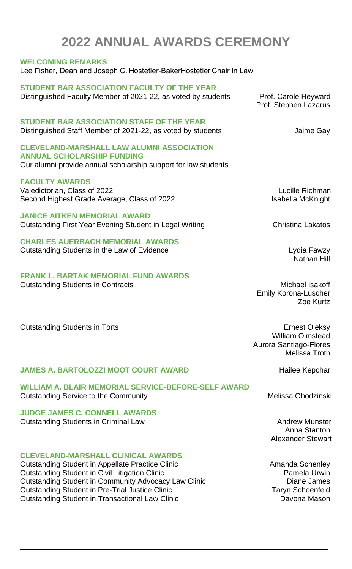# **2022 ANNUAL AWARDS CEREMONY**

## **WELCOMING REMARKS** Lee Fisher, Dean and Joseph C. Hostetler-BakerHostetler Chair in Law **STUDENT BAR ASSOCIATION FACULTY OF THE YEAR** Distinguished Faculty Member of 2021-22, as voted by students Prof. Carole Heyward Prof. Stephen Lazarus **STUDENT BAR ASSOCIATION STAFF OF THE YEAR** Distinguished Staff Member of 2021-22, as voted by students Gulletton Muslime Gay **CLEVELAND-MARSHALL LAW ALUMNI ASSOCIATION ANNUAL SCHOLARSHIP FUNDING** Our alumni provide annual scholarship support for law students **FACULTY AWARDS** Valedictorian, Class of 2022 Lucille Richman Second Highest Grade Average, Class of 2022

**JANICE AITKEN MEMORIAL AWARD** Outstanding First Year Evening Student in Legal Writing Christina Lakatos

#### **CHARLES AUERBACH MEMORIAL AWARDS** Outstanding Students in the Law of Evidence Lydia Fawzy Lydia Fawzy

#### **FRANK L. BARTAK MEMORIAL FUND AWARDS** Outstanding Students in Contracts **Michael Isakoff** Michael Isakoff

Outstanding Students in Torts **Example 2018** Controllers Ernest Oleksy

### **JAMES A. BARTOLOZZI MOOT COURT AWARD Hailee Kepchar**

**WILLIAM A. BLAIR MEMORIAL SERVICE-BEFORE-SELF AWARD**  Outstanding Service to the Community **Melissa Obodzinski** Melissa Obodzinski

#### **JUDGE JAMES C. CONNELL AWARDS** Outstanding Students in Criminal Law **Andrew Munster** Andrew Munster

#### **CLEVELAND-MARSHALL CLINICAL AWARDS**

Outstanding Student in Appellate Practice Clinic **Amanda Schenley** Amanda Schenley Outstanding Student in Civil Litigation Clinic<br>Outstanding Student in Community Advocacy Law Clinic **Pamela Constant Clinic** Diane James Outstanding Student in Community Advocacy Law Clinic Diane James Outstanding Student in Pre-Trial Justice Clinic Outstanding Student in Transactional Law Clinic Davona Mason

Nathan Hill

Emily Korona-Luscher Zoe Kurtz

William Olmstead Aurora Santiago-Flores Melissa Troth

Anna Stanton Alexander Stewart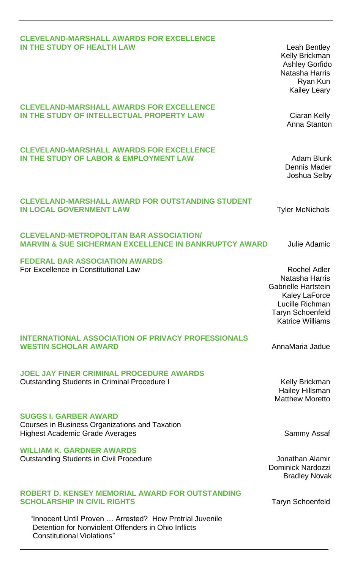### **CLEVELAND-MARSHALL AWARDS FOR EXCELLENCE IN THE STUDY OF HEALTH LAW IN THE STUDY OF HEALTH LAW**

**CLEVELAND-MARSHALL AWARDS FOR EXCELLENCE IN THE STUDY OF INTELLECTUAL PROPERTY LAW CALCULATION CONTROLS CONTROLLY CONTROLLY CONTROLLY CONTROLLY** 

#### **CLEVELAND-MARSHALL AWARDS FOR EXCELLENCE IN THE STUDY OF LABOR & EMPLOYMENT LAW CONTROLLY ADAM Blunk**

**CLEVELAND-MARSHALL AWARD FOR OUTSTANDING STUDENT IN LOCAL GOVERNMENT LAW** Tyler McNichols

Kelly Brickman Ashley Gorfido Natasha Harris Ryan Kun Kailey Leary

Anna Stanton

Dennis Mader Joshua Selby

**CLEVELAND-METROPOLITAN BAR ASSOCIATION/ MARVIN & SUE SICHERMAN EXCELLENCE IN BANKRUPTCY AWARD** Julie Adamic

**FEDERAL BAR ASSOCIATION AWARDS**  For Excellence in Constitutional Law **Rochel Adler** Rochel Adler

Natasha Harris Gabrielle Hartstein Kaley LaForce Lucille Richman Taryn Schoenfeld Katrice Williams

#### **INTERNATIONAL ASSOCIATION OF PRIVACY PROFESSIONALS WESTIN SCHOLAR AWARD** AnnaMaria Jadue

**JOEL JAY FINER CRIMINAL PROCEDURE AWARDS** Outstanding Students in Criminal Procedure I Manual Archives and Muslim Kelly Brickman

**SUGGS I. GARBER AWARD** Courses in Business Organizations and Taxation Highest Academic Grade Averages Sammy Assaf

**WILLIAM K. GARDNER AWARDS**

Outstanding Students in Civil Procedure **Constant Civil Procedure** Jonathan Alamir

### **ROBERT D. KENSEY MEMORIAL AWARD FOR OUTSTANDING SCHOLARSHIP IN CIVIL RIGHTS** TARY TARYN Schoenfeld

"Innocent Until Proven … Arrested? How Pretrial Juvenile Detention for Nonviolent Offenders in Ohio Inflicts Constitutional Violations"

Hailey Hillsman Matthew Moretto

Dominick Nardozzi Bradley Novak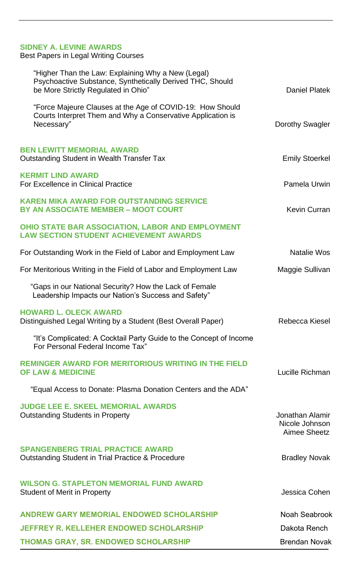#### **SIDNEY A. LEVINE AWARDS**

Best Papers in Legal Writing Courses

| "Higher Than the Law: Explaining Why a New (Legal)<br>Psychoactive Substance, Synthetically Derived THC, Should<br>be More Strictly Regulated in Ohio" | <b>Daniel Platek</b>                              |
|--------------------------------------------------------------------------------------------------------------------------------------------------------|---------------------------------------------------|
| "Force Majeure Clauses at the Age of COVID-19: How Should<br>Courts Interpret Them and Why a Conservative Application is<br>Necessary"                 | Dorothy Swagler                                   |
| <b>BEN LEWITT MEMORIAL AWARD</b><br>Outstanding Student in Wealth Transfer Tax                                                                         | <b>Emily Stoerkel</b>                             |
| <b>KERMIT LIND AWARD</b><br>For Excellence in Clinical Practice                                                                                        | Pamela Urwin                                      |
| <b>KAREN MIKA AWARD FOR OUTSTANDING SERVICE</b><br><b>BY AN ASSOCIATE MEMBER - MOOT COURT</b>                                                          | Kevin Curran                                      |
| OHIO STATE BAR ASSOCIATION, LABOR AND EMPLOYMENT<br><b>LAW SECTION STUDENT ACHIEVEMENT AWARDS</b>                                                      |                                                   |
| For Outstanding Work in the Field of Labor and Employment Law                                                                                          | Natalie Wos                                       |
| For Meritorious Writing in the Field of Labor and Employment Law                                                                                       | Maggie Sullivan                                   |
| "Gaps in our National Security? How the Lack of Female<br>Leadership Impacts our Nation's Success and Safety"                                          |                                                   |
| <b>HOWARD L. OLECK AWARD</b><br>Distinguished Legal Writing by a Student (Best Overall Paper)                                                          | Rebecca Kiesel                                    |
| "It's Complicated: A Cocktail Party Guide to the Concept of Income<br>For Personal Federal Income Tax"                                                 |                                                   |
| <b>REMINGER AWARD FOR MERITORIOUS WRITING IN THE FIELD</b><br><b>OF LAW &amp; MEDICINE</b>                                                             | Lucille Richman                                   |
| "Equal Access to Donate: Plasma Donation Centers and the ADA"                                                                                          |                                                   |
| <b>JUDGE LEE E. SKEEL MEMORIAL AWARDS</b><br><b>Outstanding Students in Property</b>                                                                   | Jonathan Alamir<br>Nicole Johnson<br>Aimee Sheetz |
| <b>SPANGENBERG TRIAL PRACTICE AWARD</b><br>Outstanding Student in Trial Practice & Procedure                                                           | <b>Bradley Novak</b>                              |
| <b>WILSON G. STAPLETON MEMORIAL FUND AWARD</b><br>Student of Merit in Property                                                                         | Jessica Cohen                                     |
| <b>ANDREW GARY MEMORIAL ENDOWED SCHOLARSHIP</b>                                                                                                        | Noah Seabrook                                     |
| <b>JEFFREY R. KELLEHER ENDOWED SCHOLARSHIP</b>                                                                                                         | Dakota Rench                                      |
| <b>THOMAS GRAY, SR. ENDOWED SCHOLARSHIP</b>                                                                                                            | <b>Brendan Novak</b>                              |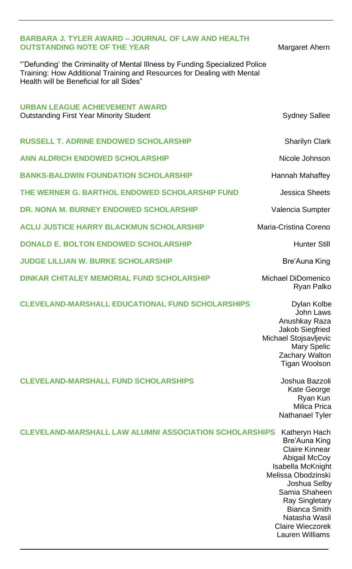### **BARBARA J. TYLER AWARD – JOURNAL OF LAW AND HEALTH OUTSTANDING NOTE OF THE YEAR MATE AND MATE OF THE YEAR**

"'Defunding' the Criminality of Mental Illness by Funding Specialized Police Training: How Additional Training and Resources for Dealing with Mental Health will be Beneficial for all Sides"

| <b>URBAN LEAGUE ACHIEVEMENT AWARD</b><br><b>Outstanding First Year Minority Student</b> | <b>Sydney Sallee</b>                                                                                                                                                                                                                                                |
|-----------------------------------------------------------------------------------------|---------------------------------------------------------------------------------------------------------------------------------------------------------------------------------------------------------------------------------------------------------------------|
| <b>RUSSELL T. ADRINE ENDOWED SCHOLARSHIP</b>                                            | Sharilyn Clark                                                                                                                                                                                                                                                      |
| <b>ANN ALDRICH ENDOWED SCHOLARSHIP</b>                                                  | Nicole Johnson                                                                                                                                                                                                                                                      |
| <b>BANKS-BALDWIN FOUNDATION SCHOLARSHIP</b>                                             | Hannah Mahaffey                                                                                                                                                                                                                                                     |
| THE WERNER G. BARTHOL ENDOWED SCHOLARSHIP FUND                                          | <b>Jessica Sheets</b>                                                                                                                                                                                                                                               |
| DR. NONA M. BURNEY ENDOWED SCHOLARSHIP                                                  | Valencia Sumpter                                                                                                                                                                                                                                                    |
| ACLU JUSTICE HARRY BLACKMUN SCHOLARSHIP                                                 | Maria-Cristina Coreno                                                                                                                                                                                                                                               |
| <b>DONALD E. BOLTON ENDOWED SCHOLARSHIP</b>                                             | <b>Hunter Still</b>                                                                                                                                                                                                                                                 |
| <b>JUDGE LILLIAN W. BURKE SCHOLARSHIP</b>                                               | Bre'Auna King                                                                                                                                                                                                                                                       |
| <b>DINKAR CHITALEY MEMORIAL FUND SCHOLARSHIP</b>                                        | Michael DiDomenico<br>Ryan Palko                                                                                                                                                                                                                                    |
| <b>CLEVELAND-MARSHALL EDUCATIONAL FUND SCHOLARSHIPS</b>                                 | Dylan Kolbe<br>John Laws<br>Anushkay Raza<br>Jakob Siegfried<br>Michael Stojsavljevic<br>Mary Spelic<br>Zachary Walton<br>Tigan Woolson                                                                                                                             |
| <b>CLEVELAND-MARSHALL FUND SCHOLARSHIPS</b>                                             | Joshua Bazzoli<br>Kate George<br>Ryan Kun<br>Milica Prica<br>Nathanael Tyler                                                                                                                                                                                        |
| <b>CLEVELAND-MARSHALL LAW ALUMNI ASSOCIATION SCHOLARSHIPS</b>                           | Katheryn Hach<br>Bre'Auna King<br><b>Claire Kinnear</b><br>Abigail McCoy<br>Isabella McKnight<br>Melissa Obodzinski<br>Joshua Selby<br>Samia Shaheen<br><b>Ray Singletary</b><br><b>Bianca Smith</b><br>Natasha Wasil<br><b>Claire Wieczorek</b><br>Lauren Williams |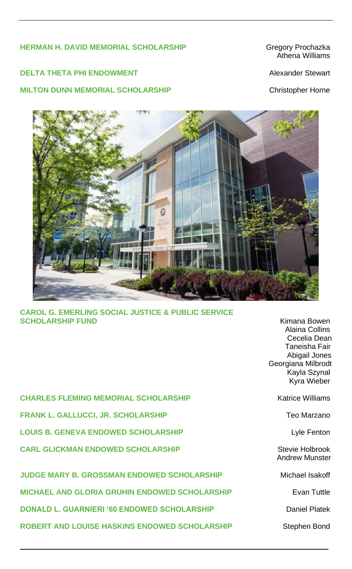### HERMAN H. DAVID MEMORIAL SCHOLARSHIP Gregory Prochazka

### **DELTA THETA PHI ENDOWMENT** Alexander Stewart

### **MILTON DUNN MEMORIAL SCHOLARSHIP Christopher Horne**

Athena Williams



**CAROL G. EMERLING SOCIAL JUSTICE & PUBLIC SERVICE SCHOLARSHIP FUND CONSULTER SCHOLARSHIP FUND** 

| <b>CHARLES FLEMING MEMORIAL SCHOLARSHIP</b>          | <b>Katrice Williams</b>                  |
|------------------------------------------------------|------------------------------------------|
| <b>FRANK L. GALLUCCI, JR. SCHOLARSHIP</b>            | Teo Marzano                              |
| <b>LOUIS B. GENEVA ENDOWED SCHOLARSHIP</b>           | Lyle Fenton                              |
| <b>CARL GLICKMAN ENDOWED SCHOLARSHIP</b>             | Stevie Holbrook<br><b>Andrew Munster</b> |
| <b>JUDGE MARY B. GROSSMAN ENDOWED SCHOLARSHIP</b>    | Michael Isakoff                          |
| <b>MICHAEL AND GLORIA GRUHIN ENDOWED SCHOLARSHIP</b> | Evan Tuttle                              |
| <b>DONALD L. GUARNIERI '60 ENDOWED SCHOLARSHIP</b>   | <b>Daniel Platek</b>                     |
| <b>ROBERT AND LOUISE HASKINS ENDOWED SCHOLARSHIP</b> | Stephen Bond                             |

 Alaina Collins Cecelia Dean Taneisha Fair Abigail Jones Georgiana Milbrodt Kayla Szynal Kyra Wieber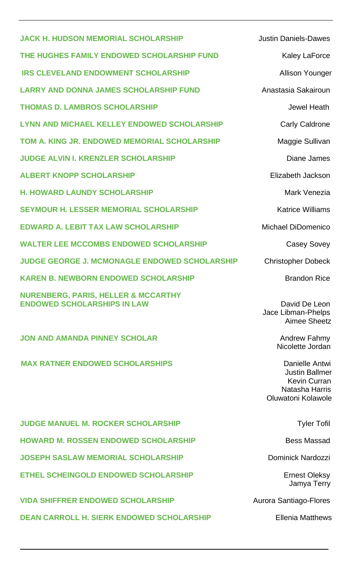| <b>JACK H. HUDSON MEMORIAL SCHOLARSHIP</b>                                           | <b>Justin Daniels-Dawes</b>                         |
|--------------------------------------------------------------------------------------|-----------------------------------------------------|
| THE HUGHES FAMILY ENDOWED SCHOLARSHIP FUND                                           | Kaley LaForce                                       |
| <b>IRS CLEVELAND ENDOWMENT SCHOLARSHIP</b>                                           | Allison Younger                                     |
| <b>LARRY AND DONNA JAMES SCHOLARSHIP FUND</b>                                        | Anastasia Sakairoun                                 |
| <b>THOMAS D. LAMBROS SCHOLARSHIP</b>                                                 | Jewel Heath                                         |
| LYNN AND MICHAEL KELLEY ENDOWED SCHOLARSHIP                                          | Carly Caldrone                                      |
| TOM A. KING JR. ENDOWED MEMORIAL SCHOLARSHIP                                         | Maggie Sullivan                                     |
| <b>JUDGE ALVIN I. KRENZLER SCHOLARSHIP</b>                                           | Diane James                                         |
| <b>ALBERT KNOPP SCHOLARSHIP</b>                                                      | Elizabeth Jackson                                   |
| <b>H. HOWARD LAUNDY SCHOLARSHIP</b>                                                  | Mark Venezia                                        |
| <b>SEYMOUR H. LESSER MEMORIAL SCHOLARSHIP</b>                                        | <b>Katrice Williams</b>                             |
| <b>EDWARD A. LEBIT TAX LAW SCHOLARSHIP</b>                                           | Michael DiDomenico                                  |
| <b>WALTER LEE MCCOMBS ENDOWED SCHOLARSHIP</b>                                        | Casey Sovey                                         |
| <b>JUDGE GEORGE J. MCMONAGLE ENDOWED SCHOLARSHIP</b>                                 | Christopher Dobeck                                  |
| <b>KAREN B. NEWBORN ENDOWED SCHOLARSHIP</b>                                          | <b>Brandon Rice</b>                                 |
| <b>NURENBERG, PARIS, HELLER &amp; MCCARTHY</b><br><b>ENDOWED SCHOLARSHIPS IN LAW</b> | David De Leon<br>Jace Libman-Phelps<br>Aimee Sheetz |
| <b>JON AND AMANDA PINNEY SCHOLAR</b>                                                 | Andrew Fahmy<br>Nicolette Jordan                    |
| <b>MAX RATNER ENDOWED SCHOLARSHIPS</b>                                               | Danielle Antwi<br>Justin Ballmer                    |

**JUDGE MANUEL M. ROCKER SCHOLARSHIP** Tyler Tofil **HOWARD M. ROSSEN ENDOWED SCHOLARSHIP** Bess Massad **JOSEPH SASLAW MEMORIAL SCHOLARSHIP Dominick Nardozzi ETHEL SCHEINGOLD ENDOWED SCHOLARSHIP** ETHEL SCHEING ON EXAMPLE THE EXAMPLE THE SCHOLARSHIP

VIDA SHIFFRER ENDOWED SCHOLARSHIP **AUROR** Aurora Santiago-Flores **DEAN CARROLL H. SIERK ENDOWED SCHOLARSHIP** Ellenia Matthews

 Kevin Curran Natasha Harris Oluwatoni Kolawole

Jamya Terry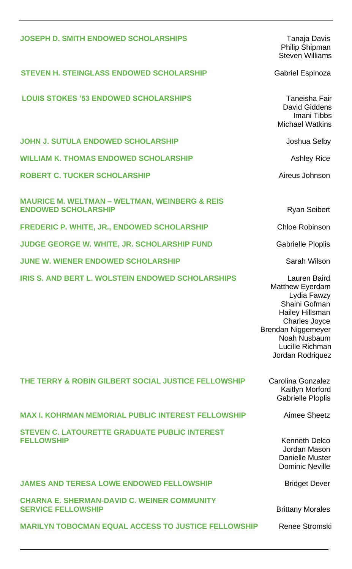| <b>JOSEPH D. SMITH ENDOWED SCHOLARSHIPS</b>                                            | Tanaja Davis<br>Philip Shipman<br>Steven Williams                                                                                                                                |
|----------------------------------------------------------------------------------------|----------------------------------------------------------------------------------------------------------------------------------------------------------------------------------|
| <b>STEVEN H. STEINGLASS ENDOWED SCHOLARSHIP</b>                                        | Gabriel Espinoza                                                                                                                                                                 |
| <b>LOUIS STOKES '53 ENDOWED SCHOLARSHIPS</b>                                           | Taneisha Fair<br>David Giddens<br>Imani Tibbs<br><b>Michael Watkins</b>                                                                                                          |
| <b>JOHN J. SUTULA ENDOWED SCHOLARSHIP</b>                                              | Joshua Selby                                                                                                                                                                     |
| <b>WILLIAM K. THOMAS ENDOWED SCHOLARSHIP</b>                                           | <b>Ashley Rice</b>                                                                                                                                                               |
| <b>ROBERT C. TUCKER SCHOLARSHIP</b>                                                    | Aireus Johnson                                                                                                                                                                   |
| <b>MAURICE M. WELTMAN - WELTMAN, WEINBERG &amp; REIS</b><br><b>ENDOWED SCHOLARSHIP</b> | Ryan Seibert                                                                                                                                                                     |
| <b>FREDERIC P. WHITE, JR., ENDOWED SCHOLARSHIP</b>                                     | Chloe Robinson                                                                                                                                                                   |
| JUDGE GEORGE W. WHITE, JR. SCHOLARSHIP FUND                                            | Gabrielle Ploplis                                                                                                                                                                |
| <b>JUNE W. WIENER ENDOWED SCHOLARSHIP</b>                                              | Sarah Wilson                                                                                                                                                                     |
| <b>IRIS S. AND BERT L. WOLSTEIN ENDOWED SCHOLARSHIPS</b>                               | Lauren Baird<br>Matthew Eyerdam<br>Lydia Fawzy<br>Shaini Gofman<br>Hailey Hillsman<br>Charles Joyce<br>Brendan Niggemeyer<br>Noah Nusbaum<br>Lucille Richman<br>Jordan Rodriquez |
| THE TERRY & ROBIN GILBERT SOCIAL JUSTICE FELLOWSHIP                                    | Carolina Gonzalez<br>Kaitlyn Morford<br>Gabrielle Ploplis                                                                                                                        |
| <b>MAX I. KOHRMAN MEMORIAL PUBLIC INTEREST FELLOWSHIP</b>                              | Aimee Sheetz                                                                                                                                                                     |
| STEVEN C. LATOURETTE GRADUATE PUBLIC INTEREST<br><b>FELLOWSHIP</b>                     | Kenneth Delco<br>Jordan Mason<br>Danielle Muster<br>Dominic Neville                                                                                                              |
| <b>JAMES AND TERESA LOWE ENDOWED FELLOWSHIP</b>                                        | <b>Bridget Dever</b>                                                                                                                                                             |
| <b>CHARNA E. SHERMAN-DAVID C. WEINER COMMUNITY</b><br><b>SERVICE FELLOWSHIP</b>        | <b>Brittany Morales</b>                                                                                                                                                          |
| <b>MARILYN TOBOCMAN EQUAL ACCESS TO JUSTICE FELLOWSHIP</b>                             | Renee Stromski                                                                                                                                                                   |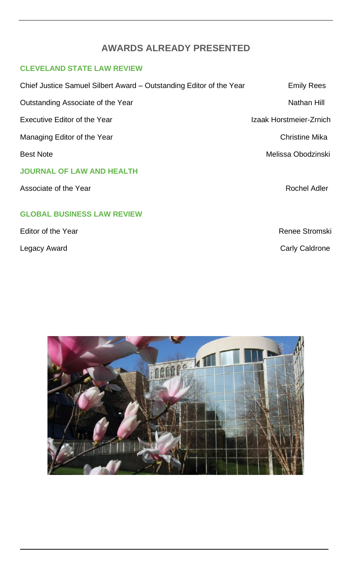## **AWARDS ALREADY PRESENTED**

### **CLEVELAND STATE LAW REVIEW**

| Chief Justice Samuel Silbert Award – Outstanding Editor of the Year | <b>Emily Rees</b>       |
|---------------------------------------------------------------------|-------------------------|
| Outstanding Associate of the Year                                   | Nathan Hill             |
| Executive Editor of the Year                                        | Izaak Horstmeier-Zrnich |
| Managing Editor of the Year                                         | Christine Mika          |
| <b>Best Note</b>                                                    | Melissa Obodzinski      |
| <b>JOURNAL OF LAW AND HEALTH</b>                                    |                         |
| Associate of the Year                                               | Rochel Adler            |
| <b>GLOBAL BUSINESS LAW REVIEW</b>                                   |                         |
| Editor of the Year                                                  | Renee Stromski          |
| Legacy Award                                                        | Carly Caldrone          |

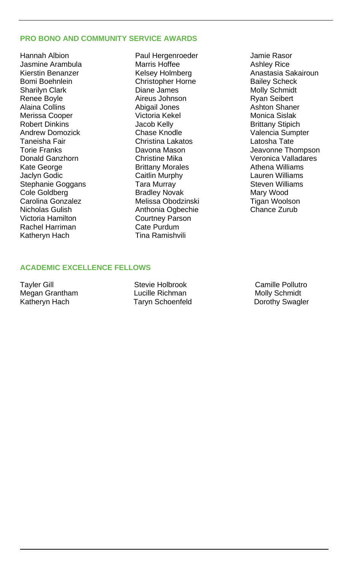#### **PRO BONO AND COMMUNITY SERVICE AWARDS**

Hannah Albion Jasmine Arambula Kierstin Benanzer Bomi Boehnlein Sharilyn Clark Renee Boyle Alaina Collins Merissa Cooper Robert Dinkins Andrew Domozick Taneisha Fair Torie Franks Donald Ganzhorn Kate George Jaclyn Godic Stephanie Goggans Cole Goldberg Carolina Gonzalez Nicholas Gulish Victoria Hamilton Rachel Harriman Katheryn Hach

Paul Hergenroeder Marris Hoffee Kelsey Holmberg Christopher Horne Diane James Aireus Johnson Abigail Jones Victoria Kekel Jacob Kelly Chase Knodle Christina Lakatos Davona Mason Christine Mika Brittany Morales Caitlin Murphy Tara Murray Bradley Novak Melissa Obodzinski Anthonia Ogbechie Courtney Parson Cate Purdum Tina Ramishvili

Jamie Rasor Ashley Rice Anastasia Sakairoun Bailey Scheck Molly Schmidt Ryan Seibert Ashton Shaner Monica Sislak Brittany Stipich Valencia Sumpter Latosha Tate Jeavonne Thompson Veronica Valladares Athena Williams Lauren Williams Steven Williams Mary Wood Tigan Woolson Chance Zurub

### **ACADEMIC EXCELLENCE FELLOWS**

Tayler Gill **Stevie Holbrook** Camille Pollutro

Megan Grantham Lucille Richman Molly Schmidt Taryn Schoenfeld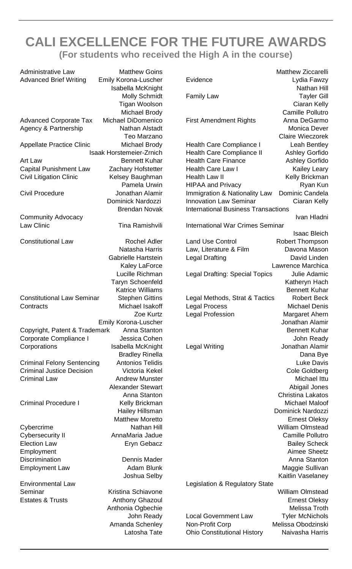## **CALI EXCELLENCE FOR THE FUTURE AWARDS (For students who received the High A in the course)**

| Administrative Law                | <b>Matthew Goins</b>     |                                            | Matthew Ziccarelli     |
|-----------------------------------|--------------------------|--------------------------------------------|------------------------|
| <b>Advanced Brief Writing</b>     | Emily Korona-Luscher     | Evidence                                   | Lydia Fawzy            |
|                                   | Isabella McKnight        |                                            | Nathan Hill            |
|                                   | Molly Schmidt            | Family Law                                 | <b>Tayler Gill</b>     |
|                                   | Tigan Woolson            |                                            | Ciaran Kelly           |
|                                   | Michael Brody            |                                            | Camille Pollutro       |
| <b>Advanced Corporate Tax</b>     | Michael DiDomenico       | <b>First Amendment Rights</b>              | Anna DeGarmo           |
| Agency & Partnership              | Nathan Alstadt           |                                            | Monica Dever           |
|                                   | Teo Marzano              |                                            | Claire Wieczorek       |
| Appellate Practice Clinic         | Michael Brody            | Health Care Compliance I                   | Leah Bentley           |
|                                   | Isaak Horstemeier-Zrnich | Health Care Compliance II                  | Ashley Gorfido         |
| Art Law                           | <b>Bennett Kuhar</b>     | <b>Health Care Finance</b>                 | Ashley Gorfido         |
| Capital Punishment Law            | Zachary Hofstetter       | Health Care Law I                          | Kailey Leary           |
| Civil Litigation Clinic           | Kelsey Baughman          | Health Law II                              | Kelly Brickman         |
|                                   | Pamela Urwin             | <b>HIPAA and Privacy</b>                   | Ryan Kun               |
| Civil Procedure                   | Jonathan Alamir          | Immigration & Nationality Law              | Dominic Candela        |
|                                   | Dominick Nardozzi        | <b>Innovation Law Seminar</b>              | Ciaran Kelly           |
|                                   | <b>Brendan Novak</b>     | <b>International Business Transactions</b> |                        |
| Community Advocacy                |                          |                                            | Ivan Hladni            |
| Law Clinic                        | Tina Ramishvili          | International War Crimes Seminar           |                        |
|                                   |                          |                                            | <b>Isaac Bleich</b>    |
| <b>Constitutional Law</b>         | Rochel Adler             | Land Use Control                           | Robert Thompson        |
|                                   | Natasha Harris           | Law, Literature & Film                     | Davona Mason           |
|                                   | Gabrielle Hartstein      | Legal Drafting                             | David Linden           |
|                                   | Kaley LaForce            |                                            | Lawrence Marchica      |
|                                   | Lucille Richman          | Legal Drafting: Special Topics             | Julie Adamic           |
|                                   | Taryn Schoenfeld         |                                            | Katheryn Hach          |
|                                   | Katrice Williams         |                                            | <b>Bennett Kuhar</b>   |
| <b>Constitutional Law Seminar</b> | <b>Stephen Gittins</b>   | Legal Methods, Strat & Tactics             | <b>Robert Beck</b>     |
| Contracts                         | Michael Isakoff          | <b>Legal Process</b>                       | <b>Michael Denis</b>   |
|                                   | Zoe Kurtz                | Legal Profession                           | Margaret Ahern         |
|                                   | Emily Korona-Luscher     |                                            | Jonathan Alamir        |
| Copyright, Patent & Trademark     | Anna Stanton             |                                            | <b>Bennett Kuhar</b>   |
| Corporate Compliance I            | Jessica Cohen            |                                            | John Ready             |
| Corporations                      | Isabella McKnight        | Legal Writing                              | Jonathan Alamir        |
|                                   | <b>Bradley Rinella</b>   |                                            | Dana Bye               |
| Criminal Felony Sentencing        | Antonios Telidis         |                                            | <b>Luke Davis</b>      |
| Criminal Justice Decision         | Victoria Kekel           |                                            | Cole Goldberg          |
| Criminal Law                      | Andrew Munster           |                                            | Michael Ittu           |
|                                   | Alexander Stewart        |                                            | Abigail Jones          |
|                                   | Anna Stanton             |                                            | Christina Lakatos      |
| Criminal Procedure I              | Kelly Brickman           |                                            | <b>Michael Maloof</b>  |
|                                   | Hailey Hillsman          |                                            | Dominick Nardozzi      |
|                                   | <b>Matthew Moretto</b>   |                                            | <b>Ernest Oleksy</b>   |
| Cybercrime                        | Nathan Hill              |                                            | William Olmstead       |
| Cybersecurity II                  | AnnaMaria Jadue          |                                            | Camille Pollutro       |
| <b>Election Law</b>               | Eryn Gebacz              |                                            | <b>Bailey Scheck</b>   |
| Employment                        |                          |                                            | Aimee Sheetz           |
| Discrimination                    | Dennis Mader             |                                            | Anna Stanton           |
| <b>Employment Law</b>             | Adam Blunk               |                                            | Maggie Sullivan        |
|                                   | Joshua Selby             |                                            | Kaitlin Vaselaney      |
| <b>Environmental Law</b>          |                          | Legislation & Regulatory State             |                        |
| Seminar                           | Kristina Schiavone       |                                            | William Olmstead       |
| <b>Estates &amp; Trusts</b>       | Anthony Ghazoul          |                                            | <b>Ernest Oleksy</b>   |
|                                   | Anthonia Ogbechie        |                                            | Melissa Troth          |
|                                   | John Ready               | <b>Local Government Law</b>                | <b>Tyler McNichols</b> |
|                                   | Amanda Schenley          | Non-Profit Corp                            | Melissa Obodzinski     |
|                                   | Latosha Tate             | Ohio Constitutional History                | Naivasha Harris        |
|                                   |                          |                                            |                        |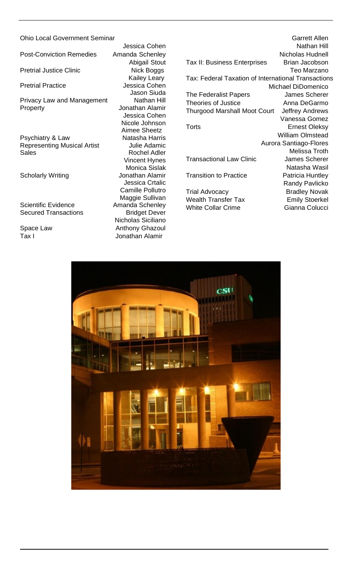Ohio Local Government Seminar

Pretrial Justice Clinic Nick Boggs

Privacy Law and Management Nathan Hill Property **Construction Construction Alamir** Jonathan Alamir

Psychiatry & Law Representing Musical Artist **Julie Adamic**<br>Sales **Rochel Adler** 

Scholarly Writing

Scientific Evidence **Amanda Schenley**<br>
Secured Transactions **Amanda Schenley** Secured Transactions

Jessica Cohen Post-Conviction Remedies Amanda Schenley Abigail Stout Kailey Leary Pretrial Practice **Comes Cohen** Jason Siuda Jessica Cohen Nicole Johnson Aimee Sheetz Rochel Adler Vincent Hynes Monica Sislak<br>Jonathan Alamir Jessica Crtalic Camille Pollutro Maggie Sullivan Nicholas Siciliano Space Law **Anthony Ghazoul**<br>Tax I am Book Donathan Alamir Jonathan Alamir

Garrett Allen Nathan Hill Nicholas Hudnell Tax II: Business Enterprises Brian Jacobson Teo Marzano Tax: Federal Taxation of International Transactions Michael DiDomenico The Federalist Papers James Scherer Theories of Justice **Anna DeGarmo** Thurgood Marshall Moot Court Jeffrey Andrews Vanessa Gomez Torts Ernest Oleksy William Olmstead Aurora Santiago-Flores Melissa Troth Transactional Law Clinic James Scherer Natasha Wasil **Transition to Practice** Randy Pavlicko Trial Advocacy Bradley Novak Wealth Transfer Tax Emily Stoerkel White Collar Crime Gianna Colucci

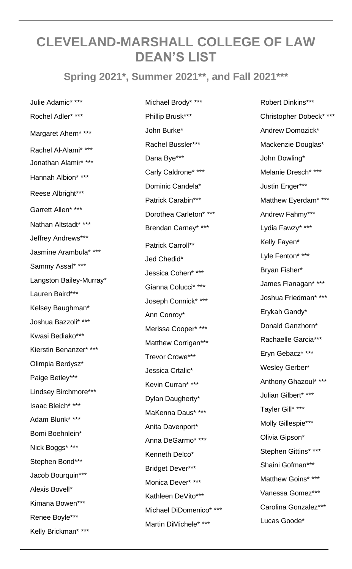# **CLEVELAND-MARSHALL COLLEGE OF LAW DEAN'S LIST**

**Spring 2021\*, Summer 2021\*\*, and Fall 2021\*\*\***

Michael Brody\* \*\*\*

Julie Adamic\* \*\*\* Rochel Adler\* \*\*\* Margaret Ahern\* \*\*\* Rachel Al-Alami\* \*\*\* Jonathan Alamir\* \*\*\* Hannah Albion\* \*\*\* Reese Albright\*\*\* Garrett Allen\* \*\*\* Nathan Altstadt\* \*\*\* Jeffrey Andrews\*\*\* Jasmine Arambula\* \*\*\* Sammy Assaf\* \*\*\* Langston Bailey-Murray\* Lauren Baird\*\*\* Kelsey Baughman\* Joshua Bazzoli\* \*\*\* Kwasi Bediako\*\*\* Kierstin Benanzer\* \*\*\* Olimpia Berdysz\* Paige Betley\*\*\* Lindsey Birchmore\*\*\* Isaac Bleich\* \*\*\* Adam Blunk\* \*\*\* Bomi Boehnlein\* Nick Boggs\* \*\*\* Stephen Bond\*\*\* Jacob Bourquin\*\*\* Alexis Bovell\* Kimana Bowen\*\*\* Renee Boyle\*\*\* Kelly Brickman\* \*\*\*

Phillip Brusk\*\*\* John Burke\* Rachel Bussler\*\*\* Dana Bye\*\*\* Carly Caldrone\* \*\*\* Dominic Candela\* Patrick Carabin\*\*\* Dorothea Carleton\* \*\*\* Brendan Carney\* \*\*\* Patrick Carroll\*\* Jed Chedid\* Jessica Cohen\* \*\*\* Gianna Colucci\* \*\*\* Joseph Connick\* \*\*\* Ann Conroy\* Merissa Cooper\* \*\*\* Matthew Corrigan\*\*\* Trevor Crowe\*\*\* Jessica Crtalic\* Kevin Curran\* \*\*\* Dylan Daugherty\* MaKenna Daus\* \*\*\* Anita Davenport\* Anna DeGarmo\* \*\*\* Kenneth Delco\* Bridget Dever\*\*\* Monica Dever\* \*\*\* Kathleen DeVito\*\*\* Michael DiDomenico\* \*\*\* Martin DiMichele\* \*\*\*

Robert Dinkins\*\*\* Christopher Dobeck\* \*\*\* Andrew Domozick\* Mackenzie Douglas\* John Dowling\* Melanie Dresch\* \*\*\* Justin Enger\*\*\* Matthew Eyerdam\* \*\*\* Andrew Fahmy\*\*\* Lydia Fawzy\* \*\*\* Kelly Fayen\* Lyle Fenton\* \*\*\* Bryan Fisher\* James Flanagan\* \*\*\* Joshua Friedman\* \*\*\* Erykah Gandy\* Donald Ganzhorn\* Rachaelle Garcia\*\*\* Eryn Gebacz\* \*\*\* Wesley Gerber\* Anthony Ghazoul\* \*\*\* Julian Gilbert\* \*\*\* Tayler Gill\* \*\*\* Molly Gillespie\*\*\* Olivia Gipson\* Stephen Gittins\* \*\*\* Shaini Gofman\*\*\* Matthew Goins\* \*\*\* Vanessa Gomez\*\*\* Carolina Gonzalez\*\*\* Lucas Goode\*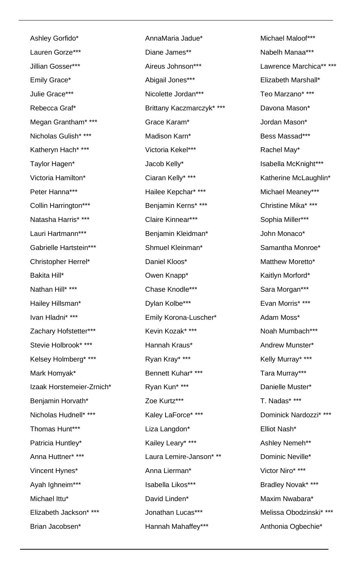Ashley Gorfido\* Lauren Gorze\*\*\* Jillian Gosser\*\*\* Emily Grace\* Julie Grace\*\*\* Rebecca Graf\* Megan Grantham\* \*\*\* Nicholas Gulish\* \*\*\* Katheryn Hach\* \*\*\* Taylor Hagen\* Victoria Hamilton\* Peter Hanna\*\*\* Collin Harrington\*\*\* Natasha Harris\* \*\*\* Lauri Hartmann\*\*\* Gabrielle Hartstein\*\*\* Christopher Herrel\* Bakita Hill\* Nathan Hill\* \*\*\* Hailey Hillsman\* Ivan Hladni\* \*\*\* Zachary Hofstetter\*\*\* Stevie Holbrook\* \*\*\* Kelsey Holmberg\* \*\*\* Mark Homyak\* Izaak Horstemeier-Zrnich\* Benjamin Horvath\* Nicholas Hudnell\* \*\*\* Thomas Hunt\*\*\* Patricia Huntley\* Anna Huttner\* \*\*\* Vincent Hynes\* Ayah Ighneim\*\*\* Michael Ittu\* Elizabeth Jackson\* \*\*\* Brian Jacobsen\*

AnnaMaria Jadue\* Diane James\*\* Aireus Johnson\*\*\* Abigail Jones\*\*\* Nicolette Jordan\*\*\* Brittany Kaczmarczyk\* \*\*\* Grace Karam\* Madison Karn\* Victoria Kekel\*\*\* Jacob Kelly\* Ciaran Kelly\* \*\*\* Hailee Kepchar\* \*\*\* Benjamin Kerns\* \*\*\* Claire Kinnear\*\*\* Benjamin Kleidman\* Shmuel Kleinman\* Daniel Kloos\* Owen Knapp\* Chase Knodle\*\*\* Dylan Kolbe\*\*\* Emily Korona-Luscher\* Kevin Kozak\* \*\*\* Hannah Kraus\* Ryan Kray\* \*\*\* Bennett Kuhar\* \*\*\* Ryan Kun\* \*\*\* Zoe Kurtz\*\*\* Kaley LaForce\* \*\*\* Liza Langdon\* Kailey Leary\* \*\*\* Laura Lemire-Janson\* \*\* Anna Lierman\* Isabella Likos\*\*\* David Linden\* Jonathan Lucas\*\*\* Hannah Mahaffey\*\*\*

Michael Maloof\*\*\* Nabelh Manaa\*\*\* Lawrence Marchica\*\* \*\*\* Elizabeth Marshall\* Teo Marzano\* \*\*\* Davona Mason\* Jordan Mason\* Bess Massad\*\*\* Rachel May\* Isabella McKnight\*\*\* Katherine McLaughlin\* Michael Meaney\*\*\* Christine Mika\* \*\*\* Sophia Miller\*\*\* John Monaco\* Samantha Monroe\* Matthew Moretto\* Kaitlyn Morford\* Sara Morgan\*\*\* Evan Morris\* \*\*\* Adam Moss\* Noah Mumbach\*\*\* Andrew Munster\* Kelly Murray\* \*\*\* Tara Murray\*\*\* Danielle Muster\* T. Nadas\* \*\*\* Dominick Nardozzi\* \*\*\* Elliot Nash\* Ashley Nemeh\*\* Dominic Neville\* Victor Niro\* \*\*\* Bradley Novak\* \*\*\* Maxim Nwabara\* Melissa Obodzinski\* \*\*\* Anthonia Ogbechie\*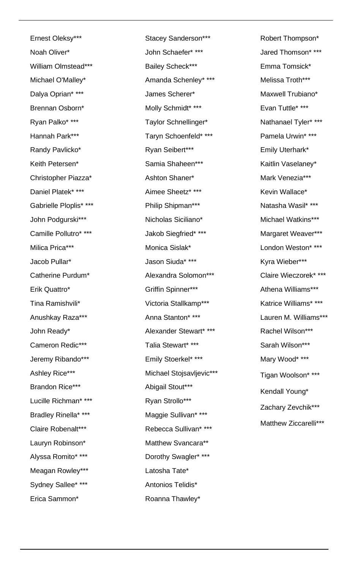Ernest Oleksy\*\*\* Noah Oliver\* William Olmstead\*\*\* Michael O'Malley\* Dalya Oprian\* \*\*\* Brennan Osborn\* Ryan Palko\* \*\*\* Hannah Park\*\*\* Randy Pavlicko\* Keith Petersen\* Christopher Piazza\* Daniel Platek\* \*\*\* Gabrielle Ploplis\* \*\*\* John Podgurski\*\*\* Camille Pollutro\* \*\*\* Milica Prica\*\*\* Jacob Pullar\* Catherine Purdum\* Erik Quattro\* Tina Ramishvili\* Anushkay Raza\*\*\* John Ready\* Cameron Redic\*\*\* Jeremy Ribando\*\*\* Ashley Rice\*\*\* Brandon Rice\*\*\* Lucille Richman\* \*\*\* Bradley Rinella\* \*\*\* Claire Robenalt\*\*\* Lauryn Robinson\* Alyssa Romito\* \*\*\* Meagan Rowley\*\*\* Sydney Sallee\* \*\*\* Erica Sammon\*

Stacey Sanderson\*\*\* John Schaefer\* \*\*\* Bailey Scheck\*\*\* Amanda Schenley\* \*\*\* James Scherer\* Molly Schmidt\* \*\*\* Taylor Schnellinger\* Taryn Schoenfeld\* \*\*\* Ryan Seibert\*\*\* Samia Shaheen\*\*\* Ashton Shaner\* Aimee Sheetz\* \*\*\* Philip Shipman\*\*\* Nicholas Siciliano\* Jakob Siegfried\* \*\*\* Monica Sislak\* Jason Siuda\* \*\*\* Alexandra Solomon\*\*\* Griffin Spinner\*\*\* Victoria Stallkamp\*\*\* Anna Stanton\* \*\*\* Alexander Stewart\* \*\*\* Talia Stewart\* \*\*\* Emily Stoerkel\* \*\*\* Michael Stojsavljevic\*\*\* Abigail Stout\*\*\* Ryan Strollo\*\*\* Maggie Sullivan\* \*\*\* Rebecca Sullivan\* \*\*\* Matthew Svancara\*\* Dorothy Swagler\* \*\*\* Latosha Tate\* Antonios Telidis\* Roanna Thawley\*

Robert Thompson\* Jared Thomson\* \*\*\* Emma Tomsick\* Melissa Troth\*\*\* Maxwell Trubiano\* Evan Tuttle\* \*\*\* Nathanael Tyler\* \*\*\* Pamela Urwin\* \*\*\* Emily Uterhark\* Kaitlin Vaselaney\* Mark Venezia\*\*\* Kevin Wallace\* Natasha Wasil\* \*\*\* Michael Watkins\*\*\* Margaret Weaver\*\*\* London Weston\* \*\*\* Kyra Wieber\*\*\* Claire Wieczorek\* \*\*\* Athena Williams\*\*\* Katrice Williams\* \*\*\* Lauren M. Williams\*\*\* Rachel Wilson\*\*\* Sarah Wilson\*\*\* Mary Wood\* \*\*\* Tigan Woolson\* \*\*\* Kendall Young\* Zachary Zevchik\*\*\* Matthew Ziccarelli\*\*\*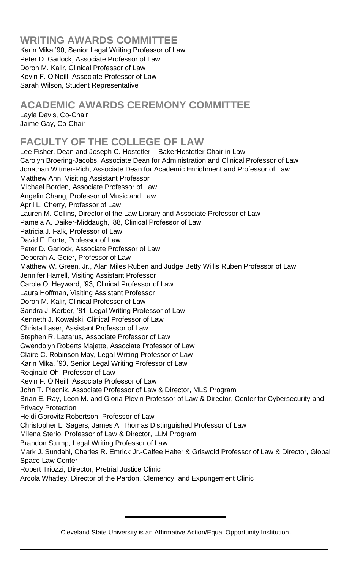## **WRITING AWARDS COMMITTEE**

Karin Mika '90, Senior Legal Writing Professor of Law Peter D. Garlock, Associate Professor of Law Doron M. Kalir, Clinical Professor of Law Kevin F. O'Neill, Associate Professor of Law Sarah Wilson, Student Representative

## **ACADEMIC AWARDS CEREMONY COMMITTEE**

Layla Davis, Co-Chair Jaime Gay, Co-Chair

## **FACULTY OF THE COLLEGE OF LAW**

Lee Fisher, Dean and Joseph C. Hostetler – BakerHostetler Chair in Law Carolyn Broering-Jacobs, Associate Dean for Administration and Clinical Professor of Law Jonathan Witmer-Rich, Associate Dean for Academic Enrichment and Professor of Law Matthew Ahn, Visiting Assistant Professor Michael Borden, Associate Professor of Law Angelin Chang, Professor of Music and Law April L. Cherry, Professor of Law Lauren M. Collins, Director of the Law Library and Associate Professor of Law Pamela A. Daiker-Middaugh, '88, Clinical Professor of Law Patricia J. Falk, Professor of Law David F. Forte, Professor of Law Peter D. Garlock, Associate Professor of Law Deborah A. Geier, Professor of Law Matthew W. Green, Jr., Alan Miles Ruben and Judge Betty Willis Ruben Professor of Law Jennifer Harrell, Visiting Assistant Professor Carole O. Heyward, '93, Clinical Professor of Law Laura Hoffman, Visiting Assistant Professor Doron M. Kalir, Clinical Professor of Law Sandra J. Kerber, '81, Legal Writing Professor of Law Kenneth J. Kowalski, Clinical Professor of Law Christa Laser, Assistant Professor of Law Stephen R. Lazarus, Associate Professor of Law Gwendolyn Roberts Majette, Associate Professor of Law Claire C. Robinson May, Legal Writing Professor of Law Karin Mika, '90, Senior Legal Writing Professor of Law Reginald Oh, Professor of Law Kevin F. O'Neill, Associate Professor of Law John T. Plecnik, Associate Professor of Law & Director, MLS Program Brian E. Ray**,** Leon M. and Gloria Plevin Professor of Law & Director, Center for Cybersecurity and Privacy Protection Heidi Gorovitz Robertson, Professor of Law Christopher L. Sagers, James A. Thomas Distinguished Professor of Law Milena Sterio, Professor of Law & Director, LLM Program Brandon Stump, Legal Writing Professor of Law Mark J. Sundahl, Charles R. Emrick Jr.-Calfee Halter & Griswold Professor of Law & Director, Global Space Law Center Robert Triozzi, Director, Pretrial Justice Clinic Arcola Whatley, Director of the Pardon, Clemency, and Expungement Clinic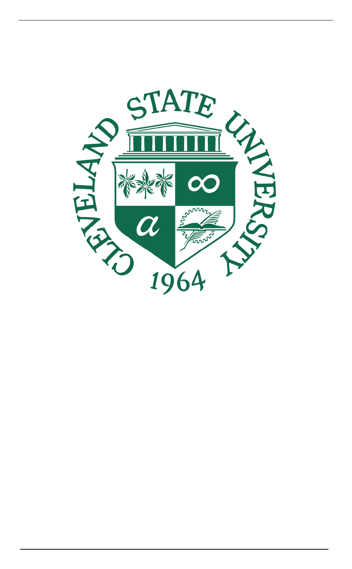